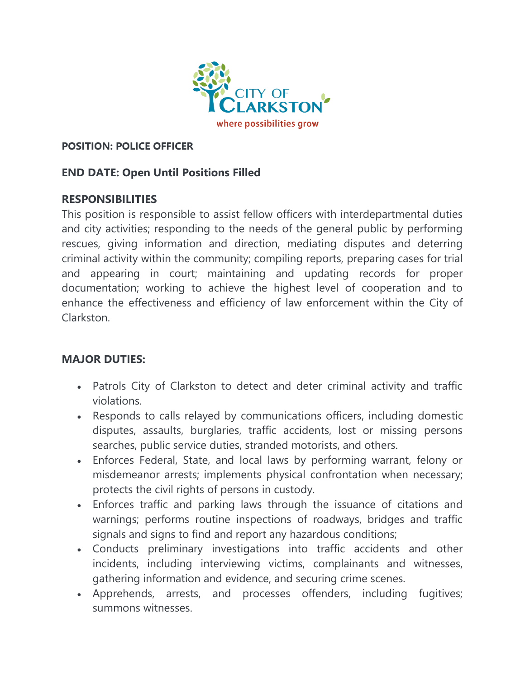

#### **POSITION: POLICE OFFICER**

## **END DATE: Open Until Positions Filled**

## **RESPONSIBILITIES**

This position is responsible to assist fellow officers with interdepartmental duties and city activities; responding to the needs of the general public by performing rescues, giving information and direction, mediating disputes and deterring criminal activity within the community; compiling reports, preparing cases for trial and appearing in court; maintaining and updating records for proper documentation; working to achieve the highest level of cooperation and to enhance the effectiveness and efficiency of law enforcement within the City of Clarkston.

## **MAJOR DUTIES:**

- Patrols City of Clarkston to detect and deter criminal activity and traffic violations.
- Responds to calls relayed by communications officers, including domestic disputes, assaults, burglaries, traffic accidents, lost or missing persons searches, public service duties, stranded motorists, and others.
- Enforces Federal, State, and local laws by performing warrant, felony or misdemeanor arrests; implements physical confrontation when necessary; protects the civil rights of persons in custody.
- Enforces traffic and parking laws through the issuance of citations and warnings; performs routine inspections of roadways, bridges and traffic signals and signs to find and report any hazardous conditions;
- Conducts preliminary investigations into traffic accidents and other incidents, including interviewing victims, complainants and witnesses, gathering information and evidence, and securing crime scenes.
- Apprehends, arrests, and processes offenders, including fugitives; summons witnesses.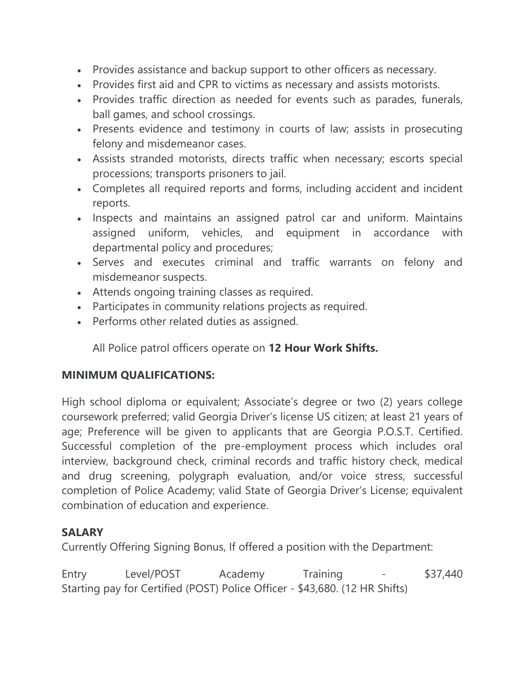- Provides assistance and backup support to other officers as necessary.
- Provides first aid and CPR to victims as necessary and assists motorists.
- Provides traffic direction as needed for events such as parades, funerals, ball games, and school crossings.
- Presents evidence and testimony in courts of law; assists in prosecuting felony and misdemeanor cases.
- Assists stranded motorists, directs traffic when necessary; escorts special processions; transports prisoners to jail.
- Completes all required reports and forms, including accident and incident reports.
- Inspects and maintains an assigned patrol car and uniform. Maintains assigned uniform, vehicles, and equipment in accordance with departmental policy and procedures;
- Serves and executes criminal and traffic warrants on felony and misdemeanor suspects.
- Attends ongoing training classes as required.
- Participates in community relations projects as required.
- Performs other related duties as assigned.

All Police patrol officers operate on **12 Hour Work Shifts.**

# **MINIMUM QUALIFICATIONS:**

High school diploma or equivalent; Associate's degree or two (2) years college coursework preferred; valid Georgia Driver's license US citizen; at least 21 years of age; Preference will be given to applicants that are Georgia P.O.S.T. Certified. Successful completion of the pre-employment process which includes oral interview, background check, criminal records and traffic history check, medical and drug screening, polygraph evaluation, and/or voice stress, successful completion of Police Academy; valid State of Georgia Driver's License; equivalent combination of education and experience.

# **SALARY**

Currently Offering Signing Bonus, If offered a position with the Department:

Entry Level/POST Academy Training - \$37,440 Starting pay for Certified (POST) Police Officer - \$43,680. (12 HR Shifts)